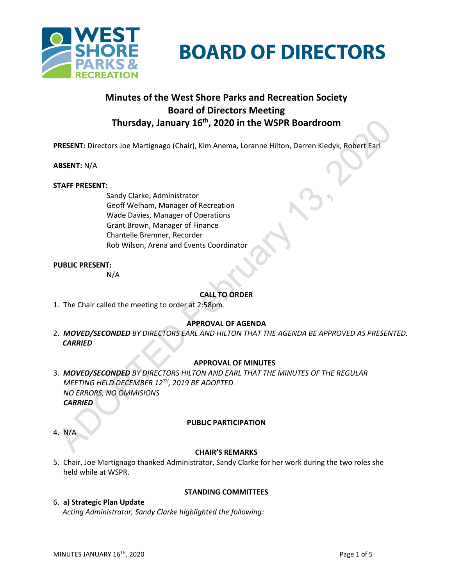

# **BOARD OF DIRECTORS**

## **Minutes of the West Shore Parks and Recreation Society Board of Directors Meeting Thursday, January 16th , 2020 in the WSPR Boardroom**

**PRESENT:** Directors Joe Martignago (Chair), Kim Anema, Loranne Hilton, Darren Kiedyk, Robert Earl

## **ABSENT:** N/A

## **STAFF PRESENT:**

Sandy Clarke, Administrator Geoff Welham, Manager of Recreation Wade Davies, Manager of Operations Grant Brown, Manager of Finance Chantelle Bremner, Recorder Rob Wilson, Arena and Events Coordinator

## **PUBLIC PRESENT:**

N/A

## **CALL TO ORDER**

1. The Chair called the meeting to order at 2:58pm.

## **APPROVAL OF AGENDA**

2. *MOVED/SECONDED BY DIRECTORS EARL AND HILTON THAT THE AGENDA BE APPROVED AS PRESENTED. CARRIED*

## **APPROVAL OF MINUTES**

- 3. *MOVED/SECONDED BY DIRECTORS HILTON AND EARL THAT THE MINUTES OF THE REGULAR MEETING HELD DECEMBER 12TH, 2019 BE ADOPTED. NO ERRORS, NO OMMISIONS CARRIED*
- 4. N/A

## **PUBLIC PARTICIPATION**

#### **CHAIR'S REMARKS**

**STANDING COMMITTEES**

- 5. Chair, Joe Martignago thanked Administrator, Sandy Clarke for her work during the two roles she held while at WSPR.
- 6. **a) Strategic Plan Update** *Acting Administrator, Sandy Clarke highlighted the following:*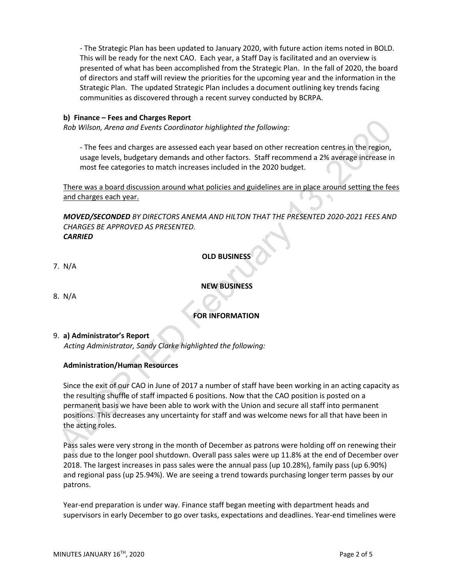- The Strategic Plan has been updated to January 2020, with future action items noted in BOLD. This will be ready for the next CAO. Each year, a Staff Day is facilitated and an overview is presented of what has been accomplished from the Strategic Plan. In the fall of 2020, the board of directors and staff will review the priorities for the upcoming year and the information in the Strategic Plan. The updated Strategic Plan includes a document outlining key trends facing communities as discovered through a recent survey conducted by BCRPA.

## **b) Finance – Fees and Charges Report**

*Rob Wilson, Arena and Events Coordinator highlighted the following:*

- The fees and charges are assessed each year based on other recreation centres in the region, usage levels, budgetary demands and other factors. Staff recommend a 2% average increase in most fee categories to match increases included in the 2020 budget.

There was a board discussion around what policies and guidelines are in place around setting the fees and charges each year.

*MOVED/SECONDED BY DIRECTORS ANEMA AND HILTON THAT THE PRESENTED 2020-2021 FEES AND CHARGES BE APPROVED AS PRESENTED. CARRIED*

## **OLD BUSINESS**

7. N/A

## **NEW BUSINESS**

8.N/A

## **FOR INFORMATION**

9. **a) Administrator's Report** 

*Acting Administrator, Sandy Clarke highlighted the following:*

## **Administration/Human Resources**

Since the exit of our CAO in June of 2017 a number of staff have been working in an acting capacity as the resulting shuffle of staff impacted 6 positions. Now that the CAO position is posted on a permanent basis we have been able to work with the Union and secure all staff into permanent positions. This decreases any uncertainty for staff and was welcome news for all that have been in the acting roles.

Pass sales were very strong in the month of December as patrons were holding off on renewing their pass due to the longer pool shutdown. Overall pass sales were up 11.8% at the end of December over 2018. The largest increases in pass sales were the annual pass (up 10.28%), family pass (up 6.90%) and regional pass (up 25.94%). We are seeing a trend towards purchasing longer term passes by our patrons.

Year-end preparation is under way. Finance staff began meeting with department heads and supervisors in early December to go over tasks, expectations and deadlines. Year-end timelines were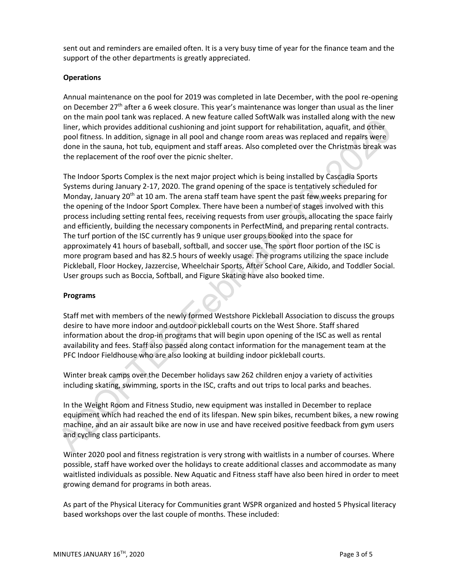sent out and reminders are emailed often. It is a very busy time of year for the finance team and the support of the other departments is greatly appreciated.

## **Operations**

Annual maintenance on the pool for 2019 was completed in late December, with the pool re-opening on December 27<sup>th</sup> after a 6 week closure. This year's maintenance was longer than usual as the liner on the main pool tank was replaced. A new feature called SoftWalk was installed along with the new liner, which provides additional cushioning and joint support for rehabilitation, aquafit, and other pool fitness. In addition, signage in all pool and change room areas was replaced and repairs were done in the sauna, hot tub, equipment and staff areas. Also completed over the Christmas break was the replacement of the roof over the picnic shelter.

The Indoor Sports Complex is the next major project which is being installed by Cascadia Sports Systems during January 2-17, 2020. The grand opening of the space is tentatively scheduled for Monday, January 20<sup>th</sup> at 10 am. The arena staff team have spent the past few weeks preparing for the opening of the Indoor Sport Complex. There have been a number of stages involved with this process including setting rental fees, receiving requests from user groups, allocating the space fairly and efficiently, building the necessary components in PerfectMind, and preparing rental contracts. The turf portion of the ISC currently has 9 unique user groups booked into the space for approximately 41 hours of baseball, softball, and soccer use. The sport floor portion of the ISC is more program based and has 82.5 hours of weekly usage. The programs utilizing the space include Pickleball, Floor Hockey, Jazzercise, Wheelchair Sports, After School Care, Aikido, and Toddler Social. User groups such as Boccia, Softball, and Figure Skating have also booked time.

## **Programs**

Staff met with members of the newly formed Westshore Pickleball Association to discuss the groups desire to have more indoor and outdoor pickleball courts on the West Shore. Staff shared information about the drop-in programs that will begin upon opening of the ISC as well as rental availability and fees. Staff also passed along contact information for the management team at the PFC Indoor Fieldhouse who are also looking at building indoor pickleball courts.

Winter break camps over the December holidays saw 262 children enjoy a variety of activities including skating, swimming, sports in the ISC, crafts and out trips to local parks and beaches.

In the Weight Room and Fitness Studio, new equipment was installed in December to replace equipment which had reached the end of its lifespan. New spin bikes, recumbent bikes, a new rowing machine, and an air assault bike are now in use and have received positive feedback from gym users and cycling class participants.

Winter 2020 pool and fitness registration is very strong with waitlists in a number of courses. Where possible, staff have worked over the holidays to create additional classes and accommodate as many waitlisted individuals as possible. New Aquatic and Fitness staff have also been hired in order to meet growing demand for programs in both areas.

As part of the Physical Literacy for Communities grant WSPR organized and hosted 5 Physical literacy based workshops over the last couple of months. These included: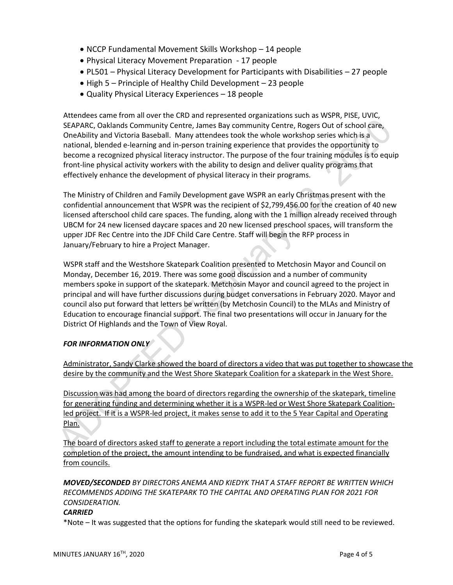- NCCP Fundamental Movement Skills Workshop 14 people
- Physical Literacy Movement Preparation 17 people
- PL501 Physical Literacy Development for Participants with Disabilities 27 people
- $\bullet$  High 5 Principle of Healthy Child Development 23 people
- Quality Physical Literacy Experiences 18 people

Attendees came from all over the CRD and represented organizations such as WSPR, PISE, UVIC, SEAPARC, Oaklands Community Centre, James Bay community Centre, Rogers Out of school care, OneAbility and Victoria Baseball. Many attendees took the whole workshop series which is a national, blended e-learning and in-person training experience that provides the opportunity to become a recognized physical literacy instructor. The purpose of the four training modules is to equip front-line physical activity workers with the ability to design and deliver quality programs that effectively enhance the development of physical literacy in their programs.

The Ministry of Children and Family Development gave WSPR an early Christmas present with the confidential announcement that WSPR was the recipient of \$2,799,456.00 for the creation of 40 new licensed afterschool child care spaces. The funding, along with the 1 million already received through UBCM for 24 new licensed daycare spaces and 20 new licensed preschool spaces, will transform the upper JDF Rec Centre into the JDF Child Care Centre. Staff will begin the RFP process in January/February to hire a Project Manager.

WSPR staff and the Westshore Skatepark Coalition presented to Metchosin Mayor and Council on Monday, December 16, 2019. There was some good discussion and a number of community members spoke in support of the skatepark. Metchosin Mayor and council agreed to the project in principal and will have further discussions during budget conversations in February 2020. Mayor and council also put forward that letters be written (by Metchosin Council) to the MLAs and Ministry of Education to encourage financial support. The final two presentations will occur in January for the District Of Highlands and the Town of View Royal.

## *FOR INFORMATION ONLY*

Administrator, Sandy Clarke showed the board of directors a video that was put together to showcase the desire by the community and the West Shore Skatepark Coalition for a skatepark in the West Shore.

Discussion was had among the board of directors regarding the ownership of the skatepark, timeline for generating funding and determining whether it is a WSPR-led or West Shore Skatepark Coalitionled project. If it is a WSPR-led project, it makes sense to add it to the 5 Year Capital and Operating Plan.

The board of directors asked staff to generate a report including the total estimate amount for the completion of the project, the amount intending to be fundraised, and what is expected financially from councils.

*MOVED/SECONDED BY DIRECTORS ANEMA AND KIEDYK THAT A STAFF REPORT BE WRITTEN WHICH RECOMMENDS ADDING THE SKATEPARK TO THE CAPITAL AND OPERATING PLAN FOR 2021 FOR CONSIDERATION.*

## *CARRIED*

\*Note – It was suggested that the options for funding the skatepark would still need to be reviewed.